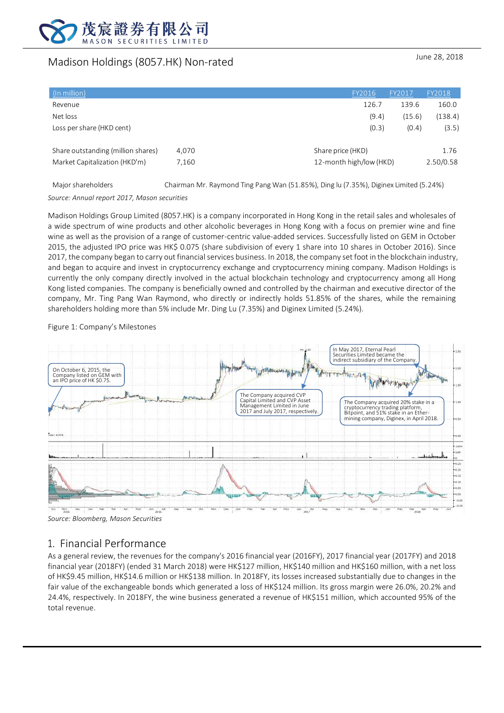

# Madison Holdings (8057.HK) Non-rated June 28, 2018

| (In million)                       |       | FY2016                  | FY2017 | <b>FY2018</b> |
|------------------------------------|-------|-------------------------|--------|---------------|
| Revenue                            |       | 126.7                   | 139.6  | 160.0         |
| Net loss                           |       | (9.4)                   | (15.6) | (138.4)       |
| Loss per share (HKD cent)          |       | (0.3)                   | (0.4)  | (3.5)         |
| Share outstanding (million shares) | 4,070 | Share price (HKD)       |        | 1.76          |
| Market Capitalization (HKD'm)      | 7,160 | 12-month high/low (HKD) |        | 2.50/0.58     |
|                                    |       |                         |        |               |

Major shareholders Chairman Mr. Raymond Ting Pang Wan (51.85%), Ding lu (7.35%), Diginex Limited (5.24%)

*Source: Annual report 2017, Mason securities*

Madison Holdings Group Limited (8057.HK) is a company incorporated in Hong Kong in the retail sales and wholesales of a wide spectrum of wine products and other alcoholic beverages in Hong Kong with a focus on premier wine and fine wine as well as the provision of a range of customer-centric value-added services. Successfully listed on GEM in October 2015, the adjusted IPO price was HK\$ 0.075 (share subdivision of every 1 share into 10 shares in October 2016). Since 2017, the company began to carry out financial services business. In 2018, the company set foot in the blockchain industry, and began to acquire and invest in cryptocurrency exchange and cryptocurrency mining company. Madison Holdings is currently the only company directly involved in the actual blockchain technology and cryptocurrency among all Hong Kong listed companies. The company is beneficially owned and controlled by the chairman and executive director of the company, Mr. Ting Pang Wan Raymond, who directly or indirectly holds 51.85% of the shares, while the remaining shareholders holding more than 5% include Mr. Ding Lu (7.35%) and Diginex Limited (5.24%).

Figure 1: Company's Milestones



*Source: Bloomberg, Mason Securities*

# 1. Financial Performance

As a general review, the revenues for the company's 2016 financial year (2016FY), 2017 financial year (2017FY) and 2018 financial year (2018FY) (ended 31 March 2018) were HK\$127 million, HK\$140 million and HK\$160 million, with a net loss of HK\$9.45 million, HK\$14.6 million or HK\$138 million. In 2018FY, its losses increased substantially due to changes in the fair value of the exchangeable bonds which generated a loss of HK\$124 million. Its gross margin were 26.0%, 20.2% and 24.4%, respectively. In 2018FY, the wine business generated a revenue of HK\$151 million, which accounted 95% of the total revenue.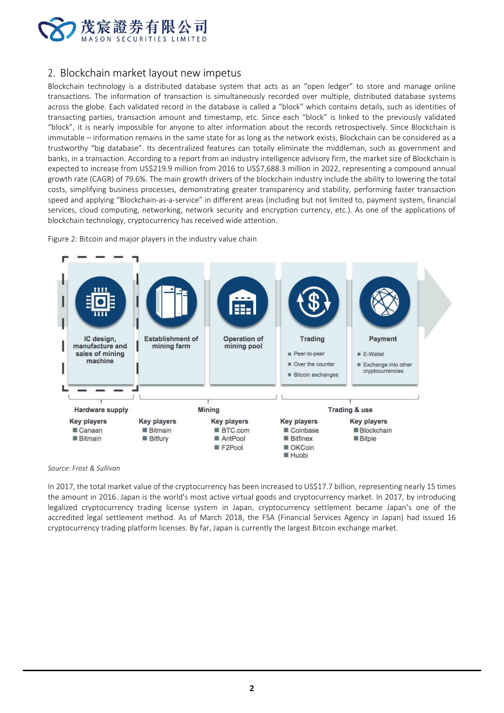

## 2. Blockchain market layout new impetus

Blockchain technology is a distributed database system that acts as an "open ledger" to store and manage online transactions. The information of transaction is simultaneously recorded over multiple, distributed database systems across the globe. Each validated record in the database is called a "block" which contains details, such as identities of transacting parties, transaction amount and timestamp, etc. Since each "block" is linked to the previously validated "block", it is nearly impossible for anyone to alter information about the records retrospectively. Since Blockchain is immutable – information remains in the same state for as long as the network exists, Blockchain can be considered as a trustworthy "big database". Its decentralized features can totally eliminate the middleman, such as government and banks, in a transaction. According to a report from an industry intelligence advisory firm, the market size of Blockchain is expected to increase from US\$219.9 million from 2016 to US\$7,688.3 million in 2022, representing a compound annual growth rate (CAGR) of 79.6%. The main growth drivers of the blockchain industry include the ability to lowering the total costs, simplifying business processes, demonstrating greater transparency and stability, performing faster transaction speed and applying "Blockchain-as-a-service" in different areas (including but not limited to, payment system, financial services, cloud computing, networking, network security and encryption currency, etc.). As one of the applications of blockchain technology, cryptocurrency has received wide attention.

Figure 2: Bitcoin and major players in the industry value chain



*Source: Frost & Sullivan*

In 2017, the total market value of the cryptocurrency has been increased to US\$17.7 billion, representing nearly 15 times the amount in 2016. Japan is the world's most active virtual goods and cryptocurrency market. In 2017, by introducing legalized cryptocurrency trading license system in Japan, cryptocurrency settlement became Japan's one of the accredited legal settlement method. As of March 2018, the FSA (Financial Services Agency in Japan) had issued 16 cryptocurrency trading platform licenses. By far, Japan is currently the largest Bitcoin exchange market.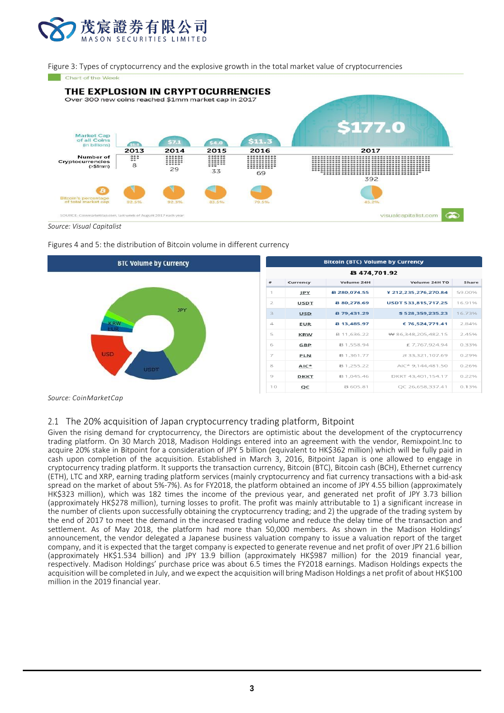

Figure 3: Types of cryptocurrency and the explosive growth in the total market value of cryptocurrencies



*Source: Visual Capitalist*

Figures 4 and 5: the distribution of Bitcoin volume in different currency



*Source: CoinMarketCap*

## 2.1 The 20% acquisition of Japan cryptocurrency trading platform, Bitpoint

Given the rising demand for cryptocurrency, the Directors are optimistic about the development of the cryptocurrency trading platform. On 30 March 2018, Madison Holdings entered into an agreement with the vendor, Remixpoint.Inc to acquire 20% stake in Bitpoint for a consideration of JPY 5 billion (equivalent to HK\$362 million) which will be fully paid in cash upon completion of the acquisition. Established in March 3, 2016, Bitpoint Japan is one allowed to engage in cryptocurrency trading platform. It supports the transaction currency, Bitcoin (BTC), Bitcoin cash (BCH), Ethernet currency (ETH), LTC and XRP, earning trading platform services (mainly cryptocurrency and fiat currency transactions with a bid-ask spread on the market of about 5%-7%). As for FY2018, the platform obtained an income of JPY 4.55 billion (approximately HK\$323 million), which was 182 times the income of the previous year, and generated net profit of JPY 3.73 billion (approximately HK\$278 million), turning losses to profit. The profit was mainly attributable to 1) a significant increase in the number of clients upon successfully obtaining the cryptocurrency trading; and 2) the upgrade of the trading system by the end of 2017 to meet the demand in the increased trading volume and reduce the delay time of the transaction and settlement. As of May 2018, the platform had more than 50,000 members. As shown in the Madison Holdings' announcement, the vendor delegated a Japanese business valuation company to issue a valuation report of the target company, and it is expected that the target company is expected to generate revenue and net profit of over JPY 21.6 billion (approximately HK\$1.534 billion) and JPY 13.9 billion (approximately HK\$987 million) for the 2019 financial year, respectively. Madison Holdings' purchase price was about 6.5 times the FY2018 earnings. Madison Holdings expects the acquisition will be completed in July, and we expect the acquisition will bring Madison Holdings a net profit of about HK\$100 million in the 2019 financial year.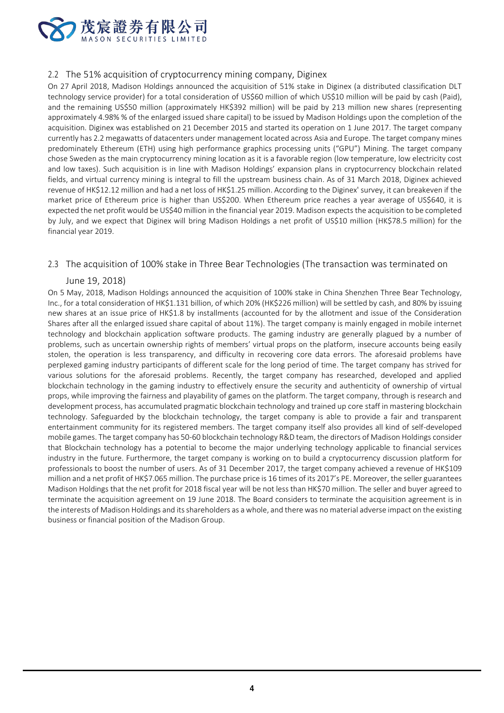

## 2.2 The 51% acquisition of cryptocurrency mining company, Diginex

On 27 April 2018, Madison Holdings announced the acquisition of 51% stake in Diginex (a distributed classification DLT technology service provider) for a total consideration of US\$60 million of which US\$10 million will be paid by cash (Paid), and the remaining US\$50 million (approximately HK\$392 million) will be paid by 213 million new shares (representing approximately 4.98% % of the enlarged issued share capital) to be issued by Madison Holdings upon the completion of the acquisition. Diginex was established on 21 December 2015 and started its operation on 1 June 2017. The target company currently has 2.2 megawatts of datacenters under management located across Asia and Europe. The target company mines predominately Ethereum (ETH) using high performance graphics processing units ("GPU") Mining. The target company chose Sweden as the main cryptocurrency mining location as it is a favorable region (low temperature, low electricity cost and low taxes). Such acquisition is in line with Madison Holdings' expansion plans in cryptocurrency blockchain related fields, and virtual currency mining is integral to fill the upstream business chain. As of 31 March 2018, Diginex achieved revenue of HK\$12.12 million and had a net loss of HK\$1.25 million. According to the Diginex' survey, it can breakeven if the market price of Ethereum price is higher than US\$200. When Ethereum price reaches a year average of US\$640, it is expected the net profit would be US\$40 million in the financial year 2019. Madison expects the acquisition to be completed by July, and we expect that Diginex will bring Madison Holdings a net profit of US\$10 million (HK\$78.5 million) for the financial year 2019.

## 2.3 The acquisition of 100% stake in Three Bear Technologies (The transaction was terminated on

## June 19, 2018)

On 5 May, 2018, Madison Holdings announced the acquisition of 100% stake in China Shenzhen Three Bear Technology, Inc., for a total consideration of HK\$1.131 billion, of which 20% (HK\$226 million) will be settled by cash, and 80% by issuing new shares at an issue price of HK\$1.8 by installments (accounted for by the allotment and issue of the Consideration Shares after all the enlarged issued share capital of about 11%). The target company is mainly engaged in mobile internet technology and blockchain application software products. The gaming industry are generally plagued by a number of problems, such as uncertain ownership rights of members' virtual props on the platform, insecure accounts being easily stolen, the operation is less transparency, and difficulty in recovering core data errors. The aforesaid problems have perplexed gaming industry participants of different scale for the long period of time. The target company has strived for various solutions for the aforesaid problems. Recently, the target company has researched, developed and applied blockchain technology in the gaming industry to effectively ensure the security and authenticity of ownership of virtual props, while improving the fairness and playability of games on the platform. The target company, through is research and development process, has accumulated pragmatic blockchain technology and trained up core staff in mastering blockchain technology. Safeguarded by the blockchain technology, the target company is able to provide a fair and transparent entertainment community for its registered members. The target company itself also provides all kind of self-developed mobile games. The target company has 50-60 blockchain technology R&D team, the directors of Madison Holdings consider that Blockchain technology has a potential to become the major underlying technology applicable to financial services industry in the future. Furthermore, the target company is working on to build a cryptocurrency discussion platform for professionals to boost the number of users. As of 31 December 2017, the target company achieved a revenue of HK\$109 million and a net profit of HK\$7.065 million. The purchase price is 16 times of its 2017's PE. Moreover, the seller guarantees Madison Holdings that the net profit for 2018 fiscal year will be not less than HK\$70 million. The seller and buyer agreed to terminate the acquisition agreement on 19 June 2018. The Board considers to terminate the acquisition agreement is in the interests of Madison Holdings and its shareholders as a whole, and there was no material adverse impact on the existing business or financial position of the Madison Group.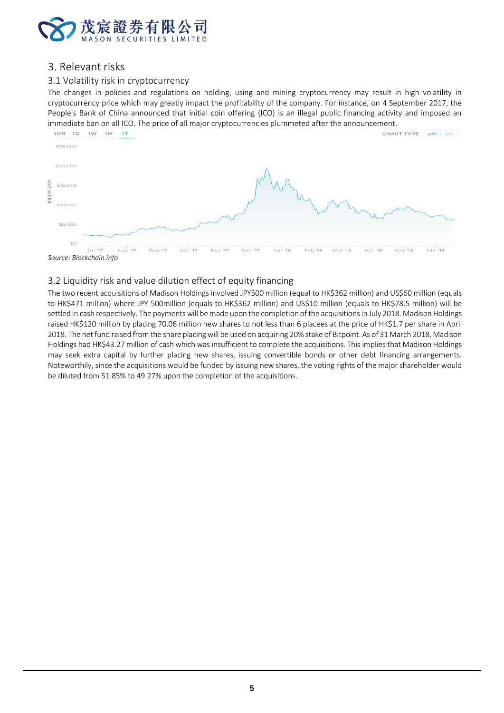

## 3. Relevant risks

## 3.1 Volatility risk in cryptocurrency

The changes in policies and regulations on holding, using and mining cryptocurrency may result in high volatility in cryptocurrency price which may greatly impact the profitability of the company. For instance, on 4 September 2017, the People's Bank of China announced that initial coin offering (ICO) is an illegal public financing activity and imposed an



*Source: Blockchain.info*

## 3.2 Liquidity risk and value dilution effect of equity financing

The two recent acquisitions of Madison Holdings involved JPY500 million (equal to HK\$362 million) and US\$60 million (equals to HK\$471 million) where JPY 500million (equals to HK\$362 million) and US\$10 million (equals to HK\$78.5 million) will be settled in cash respectively. The payments will be made upon the completion of the acquisitions in July 2018. Madison Holdings raised HK\$120 million by placing 70.06 million new shares to not less than 6 placees at the price of HK\$1.7 per share in April 2018. The net fund raised from the share placing will be used on acquiring 20% stake of Bitpoint. As of 31 March 2018, Madison Holdings had HK\$43.27 million of cash which was insufficient to complete the acquisitions. This implies that Madison Holdings may seek extra capital by further placing new shares, issuing convertible bonds or other debt financing arrangements. Noteworthily, since the acquisitions would be funded by issuing new shares, the voting rights of the major shareholder would be diluted from 51.85% to 49.27% upon the completion of the acquisitions.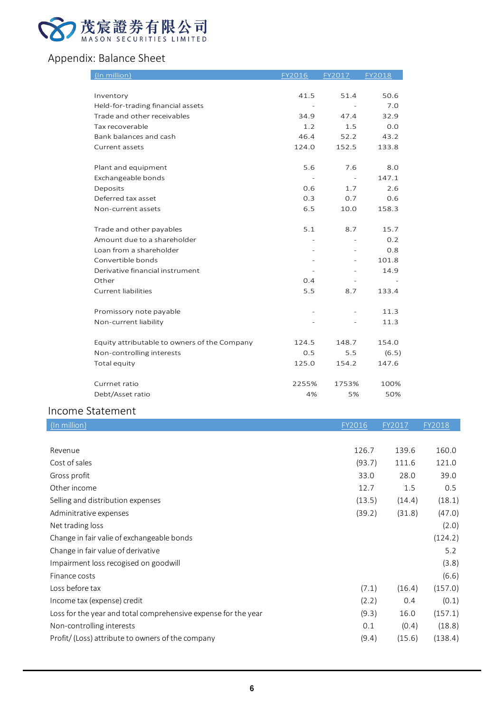

# Appendix: Balance Sheet

| (In million)                                 | FY2016    | FY2017   | FY2018 |
|----------------------------------------------|-----------|----------|--------|
|                                              |           |          |        |
| Inventory                                    | 41.5      | 51.4     | 50.6   |
| Held-for-trading financial assets            | $\equiv$  |          | 7.0    |
| Trade and other receivables                  | 34.9      | 47.4     | 32.9   |
| Tax recoverable                              | 1.2       | 1.5      | 0.0    |
| Bank balances and cash                       | 46.4      | 52.2     | 43.2   |
| Current assets                               | 124.0     | 152.5    | 133.8  |
| Plant and equipment                          | 5.6       | 7.6      | 8.0    |
| Exchangeable bonds                           | $\bar{ }$ | $\equiv$ | 147.1  |
| Deposits                                     | 0.6       | 1.7      | 2.6    |
| Deferred tax asset                           | 0.3       | 0.7      | 0.6    |
| Non-current assets                           | 6.5       | 10.0     | 158.3  |
| Trade and other payables                     | 5.1       | 8.7      | 15.7   |
| Amount due to a shareholder                  |           |          | 0.2    |
| Loan from a shareholder                      |           |          | 0.8    |
| Convertible bonds                            |           |          | 101.8  |
| Derivative financial instrument              |           |          | 14.9   |
| Other                                        | 0.4       |          |        |
| Current liabilities                          | 5.5       | 8.7      | 133.4  |
| Promissory note payable                      |           |          | 11.3   |
| Non-current liability                        |           |          | 11.3   |
| Equity attributable to owners of the Company | 124.5     | 148.7    | 154.0  |
| Non-controlling interests                    | 0.5       | 5.5      | (6.5)  |
| Total equity                                 | 125.0     | 154.2    | 147.6  |
| Currnet ratio                                | 2255%     | 1753%    | 100%   |
| Debt/Asset ratio                             | 4%        | 5%       | 50%    |
| $\sim$ $\sim$ $\sim$ $\sim$                  |           |          |        |

# Income Statement

| $(\overline{\ln m}$ illion)                                    | FY2016 | FY2017 | FY2018  |
|----------------------------------------------------------------|--------|--------|---------|
|                                                                |        |        |         |
| Revenue                                                        | 126.7  | 139.6  | 160.0   |
| Cost of sales                                                  | (93.7) | 111.6  | 121.0   |
| Gross profit                                                   | 33.0   | 28.0   | 39.0    |
| Other income                                                   | 12.7   | 1.5    | 0.5     |
| Selling and distribution expenses                              | (13.5) | (14.4) | (18.1)  |
| Adminitrative expenses                                         | (39.2) | (31.8) | (47.0)  |
| Net trading loss                                               |        |        | (2.0)   |
| Change in fair valie of exchangeable bonds                     |        |        | (124.2) |
| Change in fair value of derivative                             |        |        | 5.2     |
| Impairment loss recogised on goodwill                          |        |        | (3.8)   |
| Finance costs                                                  |        |        | (6.6)   |
| Loss before tax                                                | (7.1)  | (16.4) | (157.0) |
| Income tax (expense) credit                                    | (2.2)  | 0.4    | (0.1)   |
| Loss for the year and total comprehensive expense for the year | (9.3)  | 16.0   | (157.1) |
| Non-controlling interests                                      | 0.1    | (0.4)  | (18.8)  |
| Profit/ (Loss) attribute to owners of the company              | (9.4)  | (15.6) | (138.4) |